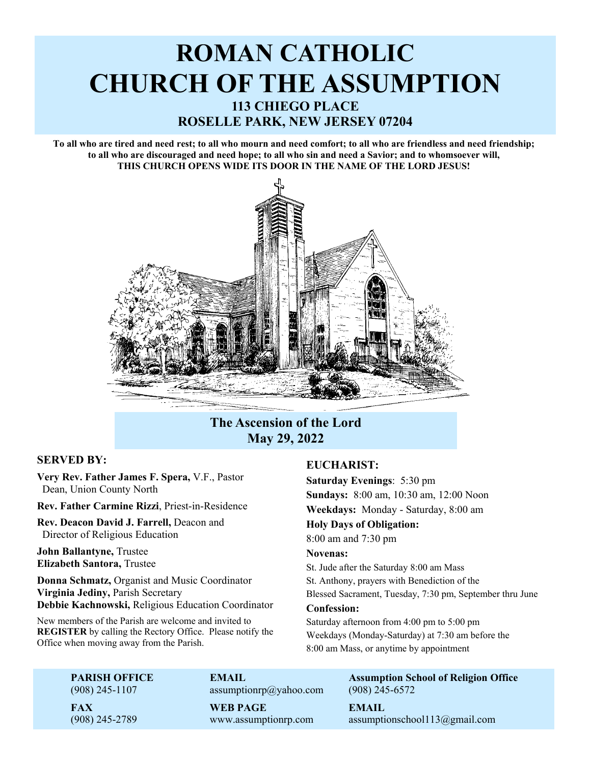# **ROMAN CATHOLIC CHURCH OF THE ASSUMPTION 113 CHIEGO PLACE ROSELLE PARK, NEW JERSEY 07204**

**To all who are tired and need rest; to all who mourn and need comfort; to all who are friendless and need friendship; to all who are discouraged and need hope; to all who sin and need a Savior; and to whomsoever will, THIS CHURCH OPENS WIDE ITS DOOR IN THE NAME OF THE LORD JESUS!** 



# **The Ascension of the Lord May 29, 2022**

# **SERVED BY:**

**Very Rev. Father James F. Spera,** V.F., Pastor Dean, Union County North

**Rev. Father Carmine Rizzi**, Priest-in-Residence

**Rev. Deacon David J. Farrell,** Deacon and Director of Religious Education

**John Ballantyne,** Trustee **Elizabeth Santora,** Trustee

**Donna Schmatz,** Organist and Music Coordinator **Virginia Jediny,** Parish Secretary **Debbie Kachnowski,** Religious Education Coordinator

New members of the Parish are welcome and invited to **REGISTER** by calling the Rectory Office. Please notify the Office when moving away from the Parish.

# **EUCHARIST:**

**Saturday Evenings**: 5:30 pm **Sundays:** 8:00 am, 10:30 am, 12:00 Noon **Weekdays:** Monday - Saturday, 8:00 am **Holy Days of Obligation:**  8:00 am and 7:30 pm **Novenas:** 

St. Jude after the Saturday 8:00 am Mass St. Anthony, prayers with Benediction of the Blessed Sacrament, Tuesday, 7:30 pm, September thru June **Confession:**  Saturday afternoon from 4:00 pm to 5:00 pm

Weekdays (Monday-Saturday) at 7:30 am before the 8:00 am Mass, or anytime by appointment

(908) 245-1107 assumptionrp@yahoo.com (908) 245-6572

 **FAX WEB PAGE EMAIL**

**PARISH OFFICE CONSULTED EMAIL CONSUMING Assumption School of Religion Office** 

 $(908)$  245-2789 www.assumptionrp.com assumptionschool113@gmail.com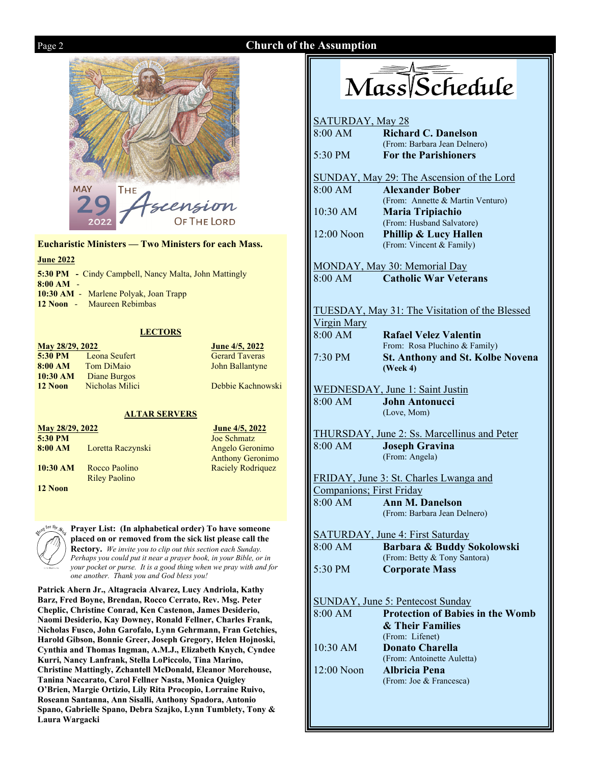# Page 2 **Church of the Assumption**





**Eucharistic Ministers — Two Ministers for each Mass.** 

### **June 2022**

|             | <b>5:30 PM</b> - Cindy Campbell, Nancy Malta, John Mattingly |
|-------------|--------------------------------------------------------------|
| $8:00 AM -$ |                                                              |
|             | 10:30 AM - Marlene Polyak, Joan Trapp                        |
|             | 12 Noon - Maureen Rebimbas                                   |
|             |                                                              |

# **LECTORS**

| May 28/29, 2022 |                     |
|-----------------|---------------------|
| $5:30$ PM       | Leona Seufert       |
| 8:00 AM         | <b>Tom DiMaio</b>   |
| 10:30 AM        | <b>Diane Burgos</b> |
| 12 Noon         | Nicholas Milici     |

**June 4/5, 2022 Gerard Taveras John Ballantyne** 

**Debbie Kachnowski** 

# **ALTAR SERVERS**

**May 28/29, 2022 June 4/5, 2022 5:30 PM** Joe Schmatz

**10:30 AM** Rocco Paolino Raciely Rodriquez Riley Paolino **12 Noon** 

8:00 AM Loretta Raczynski Angelo Geronimo Anthony Geronimo



**Prayer List: (In alphabetical order) To have someone placed on or removed from the sick list please call the** 

**Rectory.** *We invite you to clip out this section each Sunday. Perhaps you could put it near a prayer book, in your Bible, or in your pocket or purse. It is a good thing when we pray with and for one another. Thank you and God bless you!* 

**Patrick Ahern Jr., Altagracia Alvarez, Lucy Andriola, Kathy Barz, Fred Boyne, Brendan, Rocco Cerrato, Rev. Msg. Peter Cheplic, Christine Conrad, Ken Castenon, James Desiderio, Naomi Desiderio, Kay Downey, Ronald Fellner, Charles Frank, Nicholas Fusco, John Garofalo, Lynn Gehrmann, Fran Getchies, Harold Gibson, Bonnie Greer, Joseph Gregory, Helen Hojnoski, Cynthia and Thomas Ingman, A.M.J., Elizabeth Knych, Cyndee Kurri, Nancy Lanfrank, Stella LoPiccolo, Tina Marino, Christine Mattingly, Zchantell McDonald, Eleanor Morehouse, Tanina Naccarato, Carol Fellner Nasta, Monica Quigley O'Brien, Margie Ortizio, Lily Rita Procopio, Lorraine Ruivo, Roseann Santanna, Ann Sisalli, Anthony Spadora, Antonio Spano, Gabrielle Spano, Debra Szajko, Lynn Tumblety, Tony & Laura Wargacki** 

# Mass/Schedule

| <b>SATURDAY, May 28</b>  |                                                       |
|--------------------------|-------------------------------------------------------|
| 8:00 AM                  | <b>Richard C. Danelson</b>                            |
|                          | (From: Barbara Jean Delnero)                          |
| 5:30 PM                  | <b>For the Parishioners</b>                           |
|                          | SUNDAY, May 29: The Ascension of the Lord             |
| 8:00 AM                  | <b>Alexander Bober</b>                                |
|                          | (From: Annette & Martin Venturo)                      |
| $10:30$ AM               | <b>Maria Tripiachio</b>                               |
|                          | (From: Husband Salvatore)                             |
| 12:00 Noon               | <b>Phillip &amp; Lucy Hallen</b>                      |
|                          | (From: Vincent & Family)                              |
|                          | MONDAY, May 30: Memorial Day                          |
| 8:00 AM                  | <b>Catholic War Veterans</b>                          |
|                          |                                                       |
|                          | <b>TUESDAY, May 31: The Visitation of the Blessed</b> |
| <b>Virgin Mary</b>       |                                                       |
| 8:00 AM                  | <b>Rafael Velez Valentin</b>                          |
|                          | From: Rosa Pluchino & Family)                         |
| 7:30 PM                  | <b>St. Anthony and St. Kolbe Novena</b>               |
|                          | (Week 4)                                              |
|                          | <b>WEDNESDAY, June 1: Saint Justin</b>                |
| 8:00 AM                  | <b>John Antonucci</b>                                 |
|                          | (Love, Mom)                                           |
|                          | <b>THURSDAY, June 2: Ss. Marcellinus and Peter</b>    |
| 8:00 AM                  | <b>Joseph Gravina</b>                                 |
|                          | (From: Angela)                                        |
|                          | FRIDAY, June 3: St. Charles Lwanga and                |
| Companions; First Friday |                                                       |
| 8:00 AM                  | <b>Ann M. Danelson</b>                                |
|                          | (From: Barbara Jean Delnero)                          |
|                          |                                                       |
|                          | <b>SATURDAY, June 4: First Saturday</b>               |
|                          | 8:00 AM Barbara & Buddy Sokolowski                    |
|                          | (From: Betty & Tony Santora)                          |
| 5:30 PM                  | <b>Corporate Mass</b>                                 |
|                          | <b>SUNDAY, June 5: Pentecost Sunday</b>               |
| 8:00 AM                  | <b>Protection of Babies in the Womb</b>               |
|                          | & Their Families                                      |
|                          | (From: Lifenet)                                       |
| 10:30 AM                 | <b>Donato Charella</b>                                |
|                          | (From: Antoinette Auletta)                            |
| $12:00$ Noon             | <b>Albricia Pena</b>                                  |
|                          | (From: Joe & Francesca)                               |
|                          |                                                       |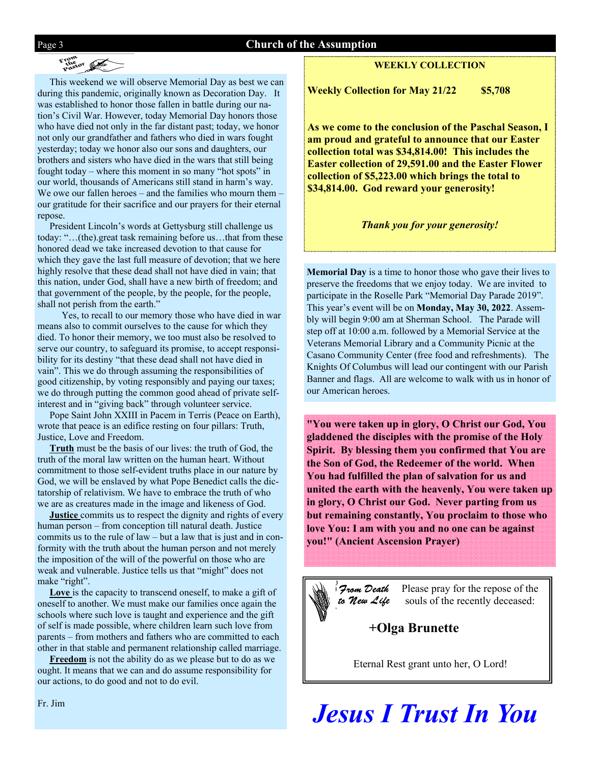## Page 3 **Church of the Assumption**

# From Pastor

 This weekend we will observe Memorial Day as best we can during this pandemic, originally known as Decoration Day. It was established to honor those fallen in battle during our nation's Civil War. However, today Memorial Day honors those who have died not only in the far distant past; today, we honor not only our grandfather and fathers who died in wars fought yesterday; today we honor also our sons and daughters, our brothers and sisters who have died in the wars that still being fought today – where this moment in so many "hot spots" in our world, thousands of Americans still stand in harm's way. We owe our fallen heroes – and the families who mourn them – our gratitude for their sacrifice and our prayers for their eternal repose.

 President Lincoln's words at Gettysburg still challenge us today: "…(the).great task remaining before us…that from these honored dead we take increased devotion to that cause for which they gave the last full measure of devotion; that we here highly resolve that these dead shall not have died in vain; that this nation, under God, shall have a new birth of freedom; and that government of the people, by the people, for the people, shall not perish from the earth."

 Yes, to recall to our memory those who have died in war means also to commit ourselves to the cause for which they died. To honor their memory, we too must also be resolved to serve our country, to safeguard its promise, to accept responsibility for its destiny "that these dead shall not have died in vain". This we do through assuming the responsibilities of good citizenship, by voting responsibly and paying our taxes; we do through putting the common good ahead of private selfinterest and in "giving back" through volunteer service.

 Pope Saint John XXIII in Pacem in Terris (Peace on Earth), wrote that peace is an edifice resting on four pillars: Truth, Justice, Love and Freedom.

 **Truth** must be the basis of our lives: the truth of God, the truth of the moral law written on the human heart. Without commitment to those self-evident truths place in our nature by God, we will be enslaved by what Pope Benedict calls the dictatorship of relativism. We have to embrace the truth of who we are as creatures made in the image and likeness of God.

 **Justice** commits us to respect the dignity and rights of every human person – from conception till natural death. Justice commits us to the rule of law – but a law that is just and in conformity with the truth about the human person and not merely the imposition of the will of the powerful on those who are weak and vulnerable. Justice tells us that "might" does not make "right".

Love is the capacity to transcend oneself, to make a gift of oneself to another. We must make our families once again the schools where such love is taught and experience and the gift of self is made possible, where children learn such love from parents – from mothers and fathers who are committed to each other in that stable and permanent relationship called marriage.

 **Freedom** is not the ability do as we please but to do as we ought. It means that we can and do assume responsibility for our actions, to do good and not to do evil.

### **WEEKLY COLLECTION**

**Weekly Collection for May 21/22 \$5,708** 

**As we come to the conclusion of the Paschal Season, I am proud and grateful to announce that our Easter collection total was \$34,814.00! This includes the Easter collection of 29,591.00 and the Easter Flower collection of \$5,223.00 which brings the total to \$34,814.00. God reward your generosity!** 

*Thank you for your generosity!* 

**Memorial Day** is a time to honor those who gave their lives to preserve the freedoms that we enjoy today. We are invited to participate in the Roselle Park "Memorial Day Parade 2019". This year's event will be on **Monday, May 30, 2022**. Assembly will begin 9:00 am at Sherman School. The Parade will step off at 10:00 a.m. followed by a Memorial Service at the Veterans Memorial Library and a Community Picnic at the Casano Community Center (free food and refreshments). The Knights Of Columbus will lead our contingent with our Parish Banner and flags. All are welcome to walk with us in honor of our American heroes.

**"You were taken up in glory, O Christ our God, You gladdened the disciples with the promise of the Holy Spirit. By blessing them you confirmed that You are the Son of God, the Redeemer of the world. When You had fulfilled the plan of salvation for us and united the earth with the heavenly, You were taken up in glory, O Christ our God. Never parting from us but remaining constantly, You proclaim to those who love You: I am with you and no one can be against you!" (Ancient Ascension Prayer)** 



Please pray for the repose of the souls of the recently deceased:

# **+Olga Brunette**

Eternal Rest grant unto her, O Lord!

*Jesus I Trust In You* 

Fr. Jim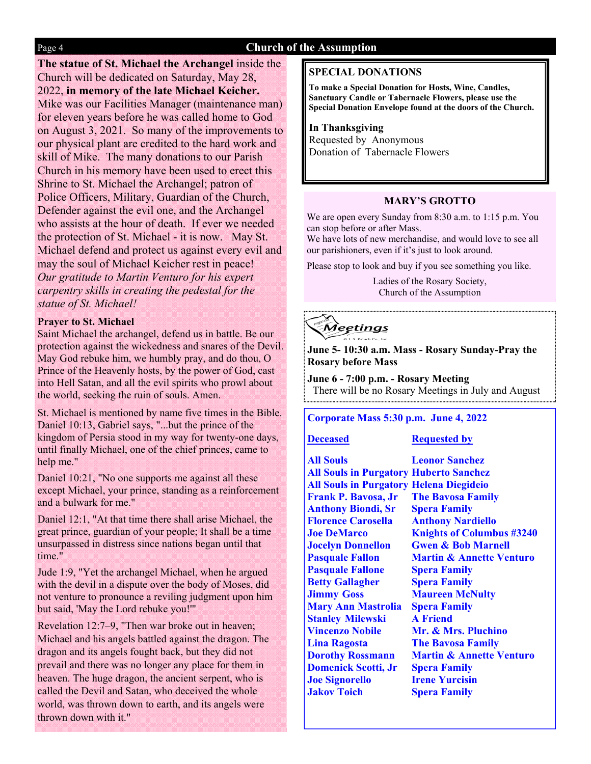# Page 4 **Church of the Assumption**

**The statue of St. Michael the Archangel** inside the Church will be dedicated on Saturday, May 28, 2022, **in memory of the late Michael Keicher.**  Mike was our Facilities Manager (maintenance man) for eleven years before he was called home to God on August 3, 2021. So many of the improvements to our physical plant are credited to the hard work and skill of Mike. The many donations to our Parish Church in his memory have been used to erect this Shrine to St. Michael the Archangel; patron of Police Officers, Military, Guardian of the Church, Defender against the evil one, and the Archangel who assists at the hour of death. If ever we needed the protection of St. Michael - it is now. May St. Michael defend and protect us against every evil and may the soul of Michael Keicher rest in peace! *Our gratitude to Martin Venturo for his expert carpentry skills in creating the pedestal for the statue of St. Michael!* 

# **Prayer to St. Michael**

Saint Michael the archangel, defend us in battle. Be our protection against the wickedness and snares of the Devil. May God rebuke him, we humbly pray, and do thou, O Prince of the Heavenly hosts, by the power of God, cast into Hell Satan, and all the evil spirits who prowl about the world, seeking the ruin of souls. Amen.

St. Michael is mentioned by name five times in the Bible. Daniel 10:13, Gabriel says, "...but the prince of the kingdom of Persia stood in my way for twenty-one days, until finally Michael, one of the chief princes, came to help me."

Daniel 10:21, "No one supports me against all these except Michael, your prince, standing as a reinforcement and a bulwark for me."

Daniel 12:1, "At that time there shall arise Michael, the great prince, guardian of your people; It shall be a time unsurpassed in distress since nations began until that time."

Jude 1:9, "Yet the archangel Michael, when he argued with the devil in a dispute over the body of Moses, did not venture to pronounce a reviling judgment upon him but said, 'May the Lord rebuke you!'"

Revelation 12:7–9, "Then war broke out in heaven; Michael and his angels battled against the dragon. The dragon and its angels fought back, but they did not prevail and there was no longer any place for them in heaven. The huge dragon, the ancient serpent, who is called the Devil and Satan, who deceived the whole world, was thrown down to earth, and its angels were thrown down with it."

# **SPECIAL DONATIONS**

**To make a Special Donation for Hosts, Wine, Candles, Sanctuary Candle or Tabernacle Flowers, please use the Special Donation Envelope found at the doors of the Church.** 

# **In Thanksgiving** Requested by Anonymous Donation of Tabernacle Flowers

# **MARY'S GROTTO**

We are open every Sunday from 8:30 a.m. to 1:15 p.m. You can stop before or after Mass.

We have lots of new merchandise, and would love to see all our parishioners, even if it's just to look around.

Please stop to look and buy if you see something you like.

Ladies of the Rosary Society, Church of the Assumption

₹ <u> Meetings</u>

**June 5- 10:30 a.m. Mass - Rosary Sunday-Pray the Rosary before Mass** 

**June 6 - 7:00 p.m. - Rosary Meeting**  There will be no Rosary Meetings in July and August

# **Corporate Mass 5:30 p.m. June 4, 2022**

## **Deceased Requested by**

**All Souls Leonor Sanchez All Souls in Purgatory Huberto Sanchez All Souls in Purgatory Helena Diegideio Frank P. Bavosa, Jr The Bavosa Family Anthony Biondi, Sr Spera Family Florence Carosella Anthony Nardiello Pasquale Fallone Spera Family Betty Gallagher Spera Family Jimmy Goss Maureen McNulty Mary Ann Mastrolia Spera Family Stanley Milewski A Friend Vincenzo Nobile Mr. & Mrs. Pluchino Lina Ragosta The Bavosa Family Domenick Scotti, Jr Spera Family Joe Signorello Irene Yurcisin Jakov Toich Spera Family**

**Joe DeMarco Knights of Columbus #3240 Jocelyn Donnellon Gwen & Bob Marnell Pasquale Fallon Martin & Annette Venturo Dorothy Rossmann Martin & Annette Venturo**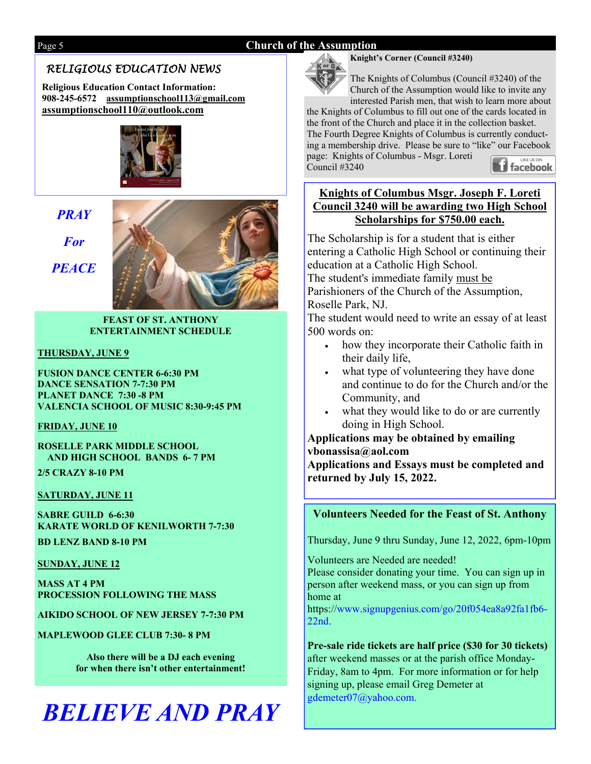# Page 5 **Church of the Assumption**

# *RELIGIOUS EDUCATION NEWS*

**Religious Education Contact Information: 908-245-6572 assumptionschool113@gmail.com assumptionschool110@outlook.com** 



# *PRAY*

*For* 

*PEACE* 



**FEAST OF ST. ANTHONY ENTERTAINMENT SCHEDULE** 

# **THURSDAY, JUNE 9**

**FUSION DANCE CENTER 6-6:30 PM DANCE SENSATION 7-7:30 PM PLANET DANCE 7:30 -8 PM VALENCIA SCHOOL OF MUSIC 8:30-9:45 PM** 

**FRIDAY, JUNE 10**

**ROSELLE PARK MIDDLE SCHOOL AND HIGH SCHOOL BANDS 6- 7 PM** 

**2/5 CRAZY 8-10 PM** 

# **SATURDAY, JUNE 11**

**SABRE GUILD 6-6:30 KARATE WORLD OF KENILWORTH 7-7:30 BD LENZ BAND 8-10 PM** 

# **SUNDAY, JUNE 12**

**MASS AT 4 PM PROCESSION FOLLOWING THE MASS** 

**AIKIDO SCHOOL OF NEW JERSEY 7-7:30 PM** 

**MAPLEWOOD GLEE CLUB 7:30- 8 PM** 

**Also there will be a DJ each evening for when there isn't other entertainment!** 

# *BELIEVE AND PRAY*



**Knight's Corner (Council #3240)** 

The Knights of Columbus (Council #3240) of the Church of the Assumption would like to invite any interested Parish men, that wish to learn more about

the Knights of Columbus to fill out one of the cards located in the front of the Church and place it in the collection basket. The Fourth Degree Knights of Columbus is currently conducting a membership drive. Please be sure to "like" our Facebook page: Knights of Columbus - Msgr. Loreti **Facebook** Council #3240

# **Knights of Columbus Msgr. Joseph F. Loreti Council 3240 will be awarding two High School Scholarships for \$750.00 each.**

The Scholarship is for a student that is either entering a Catholic High School or continuing their education at a Catholic High School.

The student's immediate family must be Parishioners of the Church of the Assumption, Roselle Park, NJ.

The student would need to write an essay of at least 500 words on:

- how they incorporate their Catholic faith in their daily life,
- what type of volunteering they have done and continue to do for the Church and/or the Community, and
- what they would like to do or are currently doing in High School.

**Applications may be obtained by emailing vbonassisa@aol.com Applications and Essays must be completed and returned by July 15, 2022.** 

# **Volunteers Needed for the Feast of St. Anthony**

Thursday, June 9 thru Sunday, June 12, 2022, 6pm-10pm

Volunteers are Needed are needed! Please consider donating your time. You can sign up in person after weekend mass, or you can sign up from home at

https://www.signupgenius.com/go/20f054ea8a92fa1fb6- 22nd.

**Pre-sale ride tickets are half price (\$30 for 30 tickets)**  after weekend masses or at the parish office Monday-Friday, 8am to 4pm. For more information or for help signing up, please email Greg Demeter at gdemeter07@yahoo.com.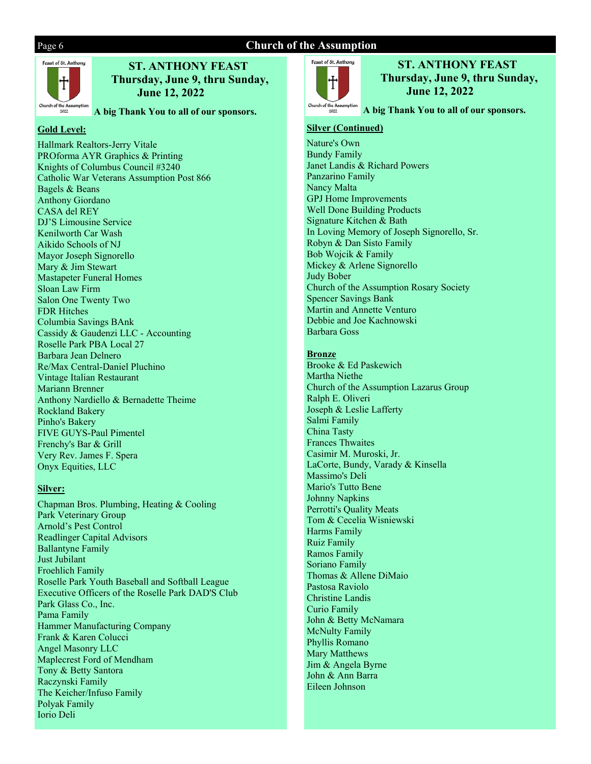# Page 6 **Church of the Assumption**



# **ST. ANTHONY FEAST Thursday, June 9, thru Sunday, June 12, 2022**

**A big Thank You to all of our sponsors.** 

# **Gold Level:**

Hallmark Realtors-Jerry Vitale PROforma AYR Graphics & Printing Knights of Columbus Council #3240 Catholic War Veterans Assumption Post 866 Bagels & Beans Anthony Giordano CASA del REY DJ'S Limousine Service Kenilworth Car Wash Aikido Schools of NJ Mayor Joseph Signorello Mary & Jim Stewart Mastapeter Funeral Homes Sloan Law Firm Salon One Twenty Two FDR Hitches Columbia Savings BAnk Cassidy & Gaudenzi LLC - Accounting Roselle Park PBA Local 27 Barbara Jean Delnero Re/Max Central-Daniel Pluchino Vintage Italian Restaurant Mariann Brenner Anthony Nardiello & Bernadette Theime Rockland Bakery Pinho's Bakery FIVE GUYS-Paul Pimentel Frenchy's Bar & Grill Very Rev. James F. Spera Onyx Equities, LLC

# **Silver:**

Chapman Bros. Plumbing, Heating & Cooling Park Veterinary Group Arnold's Pest Control Readlinger Capital Advisors Ballantyne Family Just Jubilant Froehlich Family Roselle Park Youth Baseball and Softball League Executive Officers of the Roselle Park DAD'S Club Park Glass Co., Inc. Pama Family Hammer Manufacturing Company Frank & Karen Colucci Angel Masonry LLC Maplecrest Ford of Mendham Tony & Betty Santora Raczynski Family The Keicher/Infuso Family Polyak Family Iorio Deli



 **ST. ANTHONY FEAST Thursday, June 9, thru Sunday, June 12, 2022** 

**A big Thank You to all of our sponsors.** 

# **Silver (Continued)**

Nature's Own Bundy Family Janet Landis & Richard Powers Panzarino Family Nancy Malta GPJ Home Improvements Well Done Building Products Signature Kitchen & Bath In Loving Memory of Joseph Signorello, Sr. Robyn & Dan Sisto Family Bob Wojcik & Family Mickey & Arlene Signorello Judy Bober Church of the Assumption Rosary Society Spencer Savings Bank Martin and Annette Venturo Debbie and Joe Kachnowski Barbara Goss

### **Bronze**

Brooke & Ed Paskewich Martha Niethe Church of the Assumption Lazarus Group Ralph E. Oliveri Joseph & Leslie Lafferty Salmi Family China Tasty Frances Thwaites Casimir M. Muroski, Jr. LaCorte, Bundy, Varady & Kinsella Massimo's Deli Mario's Tutto Bene Johnny Napkins Perrotti's Quality Meats Tom & Cecelia Wisniewski Harms Family Ruiz Family Ramos Family Soriano Family Thomas & Allene DiMaio Pastosa Raviolo Christine Landis Curio Family John & Betty McNamara McNulty Family Phyllis Romano Mary Matthews Jim & Angela Byrne John & Ann Barra Eileen Johnson